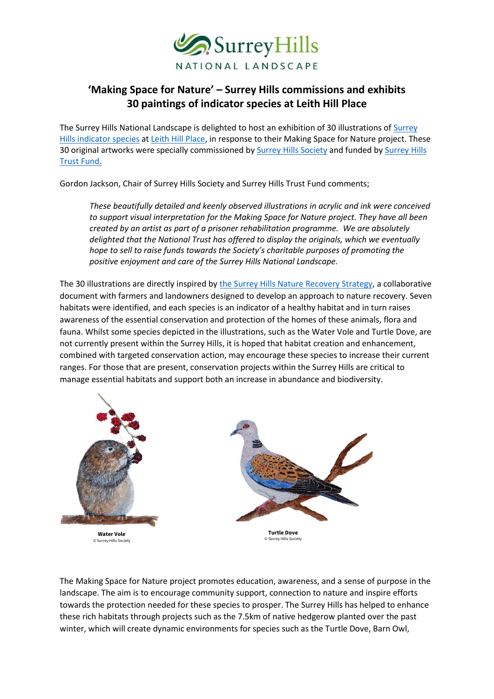

## **'Making Space for Nature' – Surrey Hills commissions and exhibits 30 paintings of indicator species at Leith Hill Place**

The Surrey Hills National Landscape is delighted to host an exhibition of 30 illustrations of [Surrey](https://www.surreyhills.org/making-space-for-nature/)  [Hills indicator species](https://www.surreyhills.org/making-space-for-nature/) at [Leith Hill Place,](https://www.nationaltrust.org.uk/leith-hill) in response to their Making Space for Nature project. These 30 original artworks were specially commissioned by **Surrey Hills Society** and funded by **Surrey Hills** [Trust Fund.](https://www.surreyhills.org/trust-fund/) 

Gordon Jackson, Chair of Surrey Hills Society and Surrey Hills Trust Fund comments;

*These beautifully detailed and keenly observed illustrations in acrylic and ink were conceived to support visual interpretation for the Making Space for Nature project. They have all been created by an artist as part of a prisoner rehabilitation programme. We are absolutely delighted that the National Trust has offered to display the originals, which we eventually hope to sell to raise funds towards the Society's charitable purposes of promoting the positive enjoyment and care of the Surrey Hills National Landscape.* 

The 30 illustrations are directly inspired b[y the Surrey Hills Nature Recovery Strategy,](https://www.surreyhills.org/nature-recovery-strategy/) a collaborative document with farmers and landowners designed to develop an approach to nature recovery. Seven habitats were identified, and each species is an indicator of a healthy habitat and in turn raises awareness of the essential conservation and protection of the homes of these animals, flora and fauna. Whilst some species depicted in the illustrations, such as the Water Vole and Turtle Dove, are not currently present within the Surrey Hills, it is hoped that habitat creation and enhancement, combined with targeted conservation action, may encourage these species to increase their current ranges. For those that are present, conservation projects within the Surrey Hills are critical to manage essential habitats and support both an increase in abundance and biodiversity.



The Making Space for Nature project promotes education, awareness, and a sense of purpose in the landscape. The aim is to encourage community support, connection to nature and inspire efforts towards the protection needed for these species to prosper. The Surrey Hills has helped to enhance these rich habitats through projects such as the 7.5km of native hedgerow planted over the past winter, which will create dynamic environments for species such as the Turtle Dove, Barn Owl,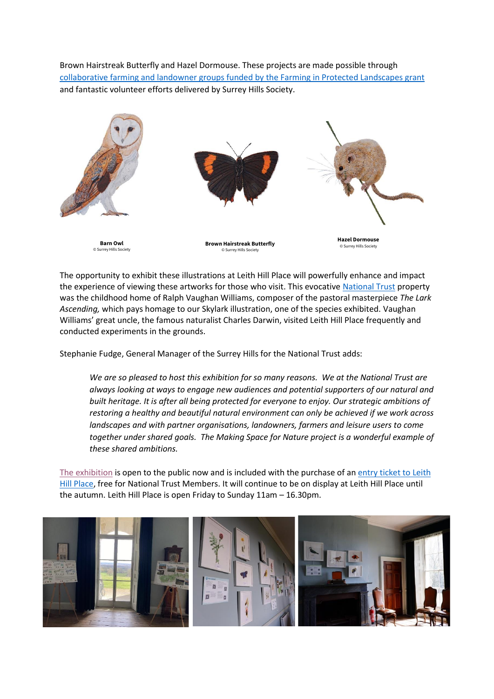Brown Hairstreak Butterfly and Hazel Dormouse. These projects are made possible through [collaborative farming and landowner groups funded by the Farming in Protected Landscapes grant](https://www.surreyhills.org/fipl-projects/facilitation-fund-collaborative-projects-planting-hedgerows/)  and fantastic volunteer efforts delivered by Surrey Hills Society.



The opportunity to exhibit these illustrations at Leith Hill Place will powerfully enhance and impact the experience of viewing these artworks for those who visit. This evocative [National Trust](https://www.nationaltrust.org.uk/) property was the childhood home of Ralph Vaughan Williams, composer of the pastoral masterpiece *The Lark Ascending,* which pays homage to our Skylark illustration, one of the species exhibited. Vaughan Williams' great uncle, the famous naturalist Charles Darwin, visited Leith Hill Place frequently and conducted experiments in the grounds.

Stephanie Fudge, General Manager of the Surrey Hills for the National Trust adds:

*We are so pleased to host this exhibition for so many reasons. We at the National Trust are always looking at ways to engage new audiences and potential supporters of our natural and built heritage. It is after all being protected for everyone to enjoy. Our strategic ambitions of restoring a healthy and beautiful natural environment can only be achieved if we work across landscapes and with partner organisations, landowners, farmers and leisure users to come together under shared goals. The Making Space for Nature project is a wonderful example of these shared ambitions.* 

[The exhibition](https://www.surreyhills.org/events/making-space-for-nature-art-exhibition/) is open to the public now and is included with the purchase of a[n entry ticket to Leith](https://www.nationaltrust.org.uk/leith-hill#Prices)  [Hill Place,](https://www.nationaltrust.org.uk/leith-hill#Prices) free for National Trust Members. It will continue to be on display at Leith Hill Place until the autumn. Leith Hill Place is open Friday to Sunday 11am – 16.30pm.